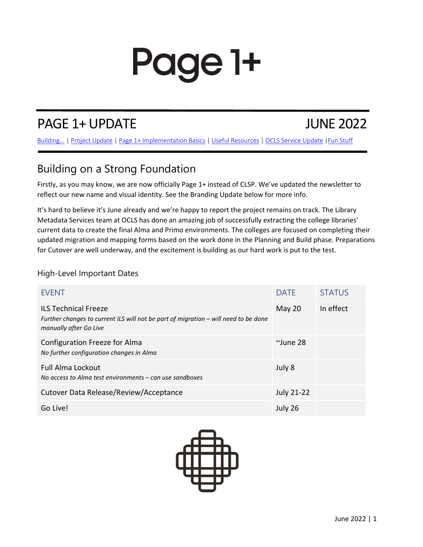# Page 1+

## PAGE 1+ UPDATE JUNE 2022

Building... | [Project Update](#page-1-0) | [Page 1+ Implementation Basics](#page-1-0) [| Useful Resources](#page-1-0) [| OCLS Service Update |Fun Stuff](#page-2-0)

## Building on a Strong Foundation

Firstly, as you may know, we are now officially Page 1+ instead of CLSP. We've updated the newsletter to reflect our new name and visual identity. See the Branding Update below for more info.

It's hard to believe it's June already and we're happy to report the project remains on track. The Library Metadata Services team at OCLS has done an amazing job of successfully extracting the college libraries' current data to create the final Alma and Primo environments. The colleges are focused on completing their updated migration and mapping forms based on the work done in the Planning and Build phase. Preparations for Cutover are well underway, and the excitement is building as our hard work is put to the test.

### High-Level Important Dates

| <b>EVENT</b>                                                                                                                                 | <b>DATE</b>       | <b>STATUS</b> |
|----------------------------------------------------------------------------------------------------------------------------------------------|-------------------|---------------|
| <b>ILS Technical Freeze</b><br>Further changes to current ILS will not be part of migration – will need to be done<br>manually after Go Live | May 20            | In effect     |
| Configuration Freeze for Alma<br>No further configuration changes in Alma                                                                    | $^{\sim}$ June 28 |               |
| <b>Full Alma Lockout</b><br>No access to Alma test environments $-$ can use sandboxes                                                        | July 8            |               |
| Cutover Data Release/Review/Acceptance                                                                                                       | <b>July 21-22</b> |               |
| Go Live!                                                                                                                                     | July 26           |               |

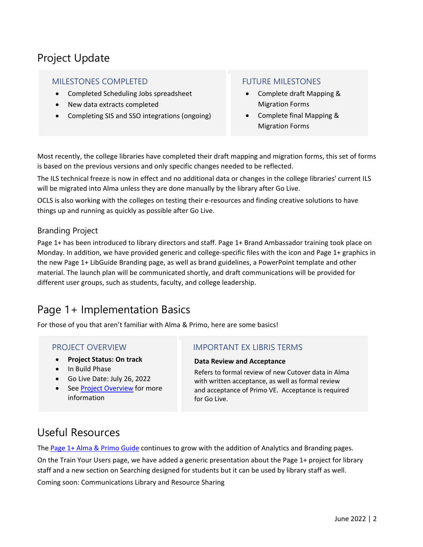## <span id="page-1-0"></span>Project Update

#### MILESTONES COMPLETED

- Completed Scheduling Jobs spreadsheet
- New data extracts completed
- Completing SIS and SSO integrations (ongoing)

### FUTURE MILESTONES

- Complete draft Mapping & Migration Forms
- Complete final Mapping & Migration Forms

Most recently, the college libraries have completed their draft mapping and migration forms, this set of forms is based on the previous versions and only specific changes needed to be reflected.

The ILS technical freeze is now in effect and no additional data or changes in the college libraries' current ILS will be migrated into Alma unless they are done manually by the library after Go Live.

OCLS is also working with the colleges on testing their e-resources and finding creative solutions to have things up and running as quickly as possible after Go Live.

### Branding Project

Page 1+ has been introduced to library directors and staff. Page 1+ Brand Ambassador training took place on Monday. In addition, we have provided generic and college-specific files with the icon and Page 1+ graphics in the new Page 1+ LibGuide Branding page, as well as brand guidelines, a PowerPoint template and other material. The launch plan will be communicated shortly, and draft communications will be provided for different user groups, such as students, faculty, and college leadership.

## Page 1+ Implementation Basics

For those of you that aren't familiar with Alma & Primo, here are some basics!

#### PROJECT OVERVIEW

- **Project Status: On track**
- In Build Phase
- Go Live Date: July 26, 2022
- Se[e Project Overview](https://clo-collaboration-spaces.atlassian.net/l/c/QNiDbYX0) for more information

#### IMPORTANT EX LIBRIS TERMS

#### **Data Review and Acceptance**

Refers to formal review of new Cutover data in Alma with written acceptance, as well as formal review and acceptance of Primo VE. Acceptance is required for Go Live.

## Useful Resources

The [Page 1+ Alma & Primo Guide](https://clo.libguides.com/clsp-almaprimoguide) continues to grow with the addition of Analytics and Branding pages. On the Train Your Users page, we have added a generic presentation about the Page 1+ project for library staff and a new section on Searching designed for students but it can be used by library staff as well.

Coming soon: Communications Library and Resource Sharing